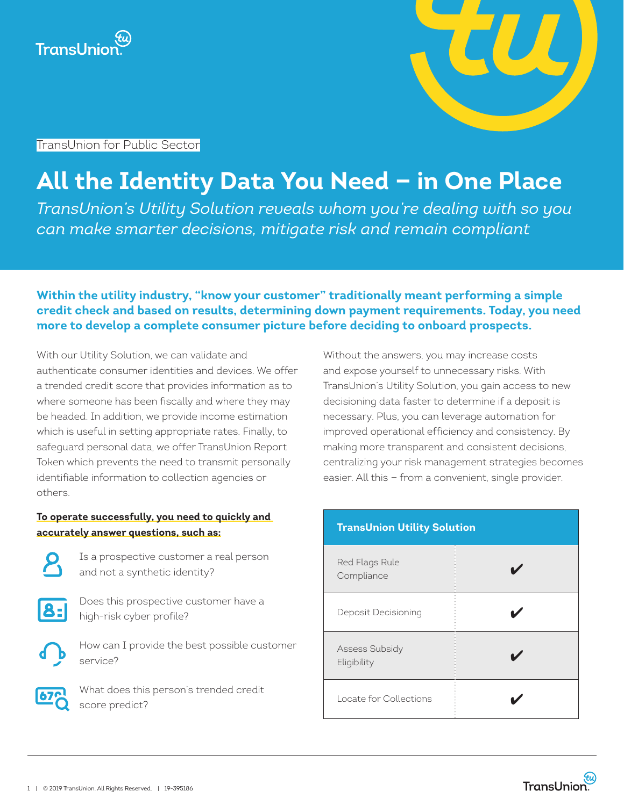



TransUnion for Public Sector

# **All the Identity Data You Need — in One Place**

*TransUnion's Utility Solution reveals whom you're dealing with so you can make smarter decisions, mitigate risk and remain compliant*

## **Within the utility industry, "know your customer" traditionally meant performing a simple credit check and based on results, determining down payment requirements. Today, you need more to develop a complete consumer picture before deciding to onboard prospects.**

With our Utility Solution, we can validate and authenticate consumer identities and devices. We offer a trended credit score that provides information as to where someone has been fiscally and where they may be headed. In addition, we provide income estimation which is useful in setting appropriate rates. Finally, to safeguard personal data, we offer TransUnion Report Token which prevents the need to transmit personally identifiable information to collection agencies or others.

### **To operate successfully, you need to quickly and accurately answer questions, such as:**

Is a prospective customer a real person and not a synthetic identity?



Does this prospective customer have a high-risk cyber profile?

How can I provide the best possible customer service?



What does this person's trended credit score predict?

Without the answers, you may increase costs and expose yourself to unnecessary risks. With TransUnion's Utility Solution, you gain access to new decisioning data faster to determine if a deposit is necessary. Plus, you can leverage automation for improved operational efficiency and consistency. By making more transparent and consistent decisions, centralizing your risk management strategies becomes easier. All this — from a convenient, single provider.

| <b>TransUnion Utility Solution</b> |  |
|------------------------------------|--|
| Red Flags Rule<br>Compliance       |  |
| Deposit Decisioning                |  |
| Assess Subsidy<br>Eligibility      |  |
| Locate for Collections             |  |